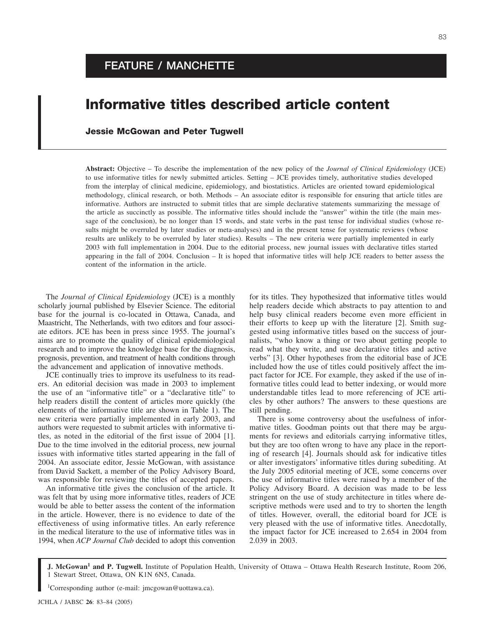## **Informative titles described article content**

## **Jessie McGowan and Peter Tugwell**

**Abstract:** Objective – To describe the implementation of the new policy of the *Journal of Clinical Epidemiology* (JCE) to use informative titles for newly submitted articles. Setting – JCE provides timely, authoritative studies developed from the interplay of clinical medicine, epidemiology, and biostatistics. Articles are oriented toward epidemiological methodology, clinical research, or both. Methods – An associate editor is responsible for ensuring that article titles are informative. Authors are instructed to submit titles that are simple declarative statements summarizing the message of the article as succinctly as possible. The informative titles should include the "answer" within the title (the main message of the conclusion), be no longer than 15 words, and state verbs in the past tense for individual studies (whose results might be overruled by later studies or meta-analyses) and in the present tense for systematic reviews (whose results are unlikely to be overruled by later studies). Results – The new criteria were partially implemented in early 2003 with full implementation in 2004. Due to the editorial process, new journal issues with declarative titles started appearing in the fall of 2004. Conclusion – It is hoped that informative titles will help JCE readers to better assess the content of the information in the article.

The *Journal of Clinical Epidemiology* (JCE) is a monthly scholarly journal published by Elsevier Science. The editorial base for the journal is co-located in Ottawa, Canada, and Maastricht, The Netherlands, with two editors and four associate editors. JCE has been in press since 1955. The journal's aims are to promote the quality of clinical epidemiological research and to improve the knowledge base for the diagnosis, prognosis, prevention, and treatment of health conditions through the advancement and application of innovative methods.

JCE continually tries to improve its usefulness to its readers. An editorial decision was made in 2003 to implement the use of an "informative title" or a "declarative title" to help readers distill the content of articles more quickly (the elements of the informative title are shown in Table 1). The new criteria were partially implemented in early 2003, and authors were requested to submit articles with informative titles, as noted in the editorial of the first issue of 2004 [1]. Due to the time involved in the editorial process, new journal issues with informative titles started appearing in the fall of 2004. An associate editor, Jessie McGowan, with assistance from David Sackett, a member of the Policy Advisory Board, was responsible for reviewing the titles of accepted papers.

An informative title gives the conclusion of the article. It was felt that by using more informative titles, readers of JCE would be able to better assess the content of the information in the article. However, there is no evidence to date of the effectiveness of using informative titles. An early reference in the medical literature to the use of informative titles was in 1994, when *ACP Journal Club* decided to adopt this convention for its titles. They hypothesized that informative titles would help readers decide which abstracts to pay attention to and help busy clinical readers become even more efficient in their efforts to keep up with the literature [2]. Smith suggested using informative titles based on the success of journalists, "who know a thing or two about getting people to read what they write, and use declarative titles and active verbs" [3]. Other hypotheses from the editorial base of JCE included how the use of titles could positively affect the impact factor for JCE. For example, they asked if the use of informative titles could lead to better indexing, or would more understandable titles lead to more referencing of JCE articles by other authors? The answers to these questions are still pending.

There is some controversy about the usefulness of informative titles. Goodman points out that there may be arguments for reviews and editorials carrying informative titles, but they are too often wrong to have any place in the reporting of research [4]. Journals should ask for indicative titles or alter investigators' informative titles during subediting. At the July 2005 editorial meeting of JCE, some concerns over the use of informative titles were raised by a member of the Policy Advisory Board. A decision was made to be less stringent on the use of study architecture in titles where descriptive methods were used and to try to shorten the length of titles. However, overall, the editorial board for JCE is very pleased with the use of informative titles. Anecdotally, the impact factor for JCE increased to 2.654 in 2004 from 2.039 in 2003.

**J. McGowan<sup>1</sup> and P. Tugwell.** Institute of Population Health, University of Ottawa – Ottawa Health Research Institute, Room 206, 1 Stewart Street, Ottawa, ON K1N 6N5, Canada.

1 Corresponding author (e-mail: jmcgowan@uottawa.ca).